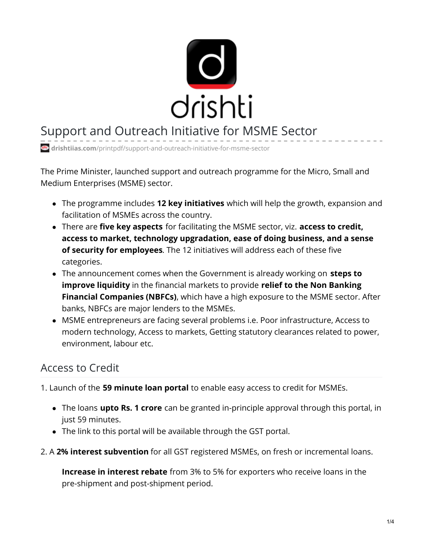

# Support and Outreach Initiative for MSME Sector

**drishtiias.com**[/printpdf/support-and-outreach-initiative-for-msme-sector](https://www.drishtiias.com/printpdf/support-and-outreach-initiative-for-msme-sector)

The Prime Minister, launched support and outreach programme for the Micro, Small and Medium Enterprises (MSME) sector.

- The programme includes **12 key initiatives** which will help the growth, expansion and facilitation of MSMEs across the country.
- There are **five key aspects** for facilitating the MSME sector, viz. **access to credit, access to market, technology upgradation, ease of doing business, and a sense of security for employees**. The 12 initiatives will address each of these five categories.
- The announcement comes when the Government is already working on **steps to improve liquidity** in the financial markets to provide **relief to the Non Banking Financial Companies (NBFCs)**, which have a high exposure to the MSME sector. After banks, NBFCs are major lenders to the MSMEs.
- MSME entrepreneurs are facing several problems i.e. Poor infrastructure, Access to modern technology, Access to markets, Getting statutory clearances related to power, environment, labour etc.

## Access to Credit

1. Launch of the **59 minute loan portal** to enable easy access to credit for MSMEs.

- The loans **upto Rs. 1 crore** can be granted in-principle approval through this portal, in just 59 minutes.
- The link to this portal will be available through the GST portal.
- 2. A **2% interest subvention** for all GST registered MSMEs, on fresh or incremental loans.

**Increase in interest rebate** from 3% to 5% for exporters who receive loans in the pre-shipment and post-shipment period.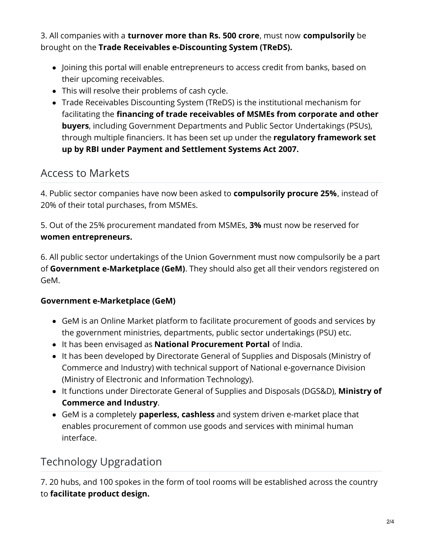3. All companies with a **turnover more than Rs. 500 crore**, must now **compulsorily** be brought on the **Trade Receivables e-Discounting System (TReDS).**

- Joining this portal will enable entrepreneurs to access credit from banks, based on their upcoming receivables.
- This will resolve their problems of cash cycle.
- Trade Receivables Discounting System (TReDS) is the institutional mechanism for facilitating the **financing of trade receivables of MSMEs from corporate and other buyers**, including Government Departments and Public Sector Undertakings (PSUs), through multiple financiers. It has been set up under the **regulatory framework set up by RBI under Payment and Settlement Systems Act 2007.**

### Access to Markets

4. Public sector companies have now been asked to **compulsorily procure 25%**, instead of 20% of their total purchases, from MSMEs.

5. Out of the 25% procurement mandated from MSMEs, **3%** must now be reserved for **women entrepreneurs.**

6. All public sector undertakings of the Union Government must now compulsorily be a part of **Government e-Marketplace (GeM)**. They should also get all their vendors registered on GeM.

#### **Government e-Marketplace (GeM)**

- GeM is an Online Market platform to facilitate procurement of goods and services by the government ministries, departments, public sector undertakings (PSU) etc.
- It has been envisaged as **National Procurement Portal** of India.
- It has been developed by Directorate General of Supplies and Disposals (Ministry of Commerce and Industry) with technical support of National e-governance Division (Ministry of Electronic and Information Technology).
- It functions under Directorate General of Supplies and Disposals (DGS&D), **Ministry of Commerce and Industry**.
- GeM is a completely **paperless, cashless** and system driven e-market place that enables procurement of common use goods and services with minimal human interface.

# Technology Upgradation

7. 20 hubs, and 100 spokes in the form of tool rooms will be established across the country to **facilitate product design.**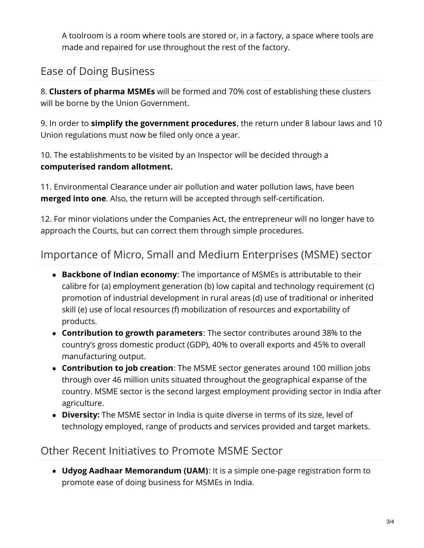A toolroom is a room where tools are stored or, in a factory, a space where tools are made and repaired for use throughout the rest of the factory.

## Ease of Doing Business

8. **Clusters of pharma MSMEs** will be formed and 70% cost of establishing these clusters will be borne by the Union Government.

9. In order to **simplify the government procedures**, the return under 8 labour laws and 10 Union regulations must now be filed only once a year.

10. The establishments to be visited by an Inspector will be decided through a **computerised random allotment.**

11. Environmental Clearance under air pollution and water pollution laws, have been **merged into one**. Also, the return will be accepted through self-certification.

12. For minor violations under the Companies Act, the entrepreneur will no longer have to approach the Courts, but can correct them through simple procedures.

## Importance of Micro, Small and Medium Enterprises (MSME) sector

- **Backbone of Indian economy**: The importance of MSMEs is attributable to their calibre for (a) employment generation (b) low capital and technology requirement (c) promotion of industrial development in rural areas (d) use of traditional or inherited skill (e) use of local resources (f) mobilization of resources and exportability of products.
- **Contribution to growth parameters**: The sector contributes around 38% to the country's gross domestic product (GDP), 40% to overall exports and 45% to overall manufacturing output.
- **Contribution to job creation**: The MSME sector generates around 100 million jobs through over 46 million units situated throughout the geographical expanse of the country. MSME sector is the second largest employment providing sector in India after agriculture.
- **Diversity:** The MSME sector in India is quite diverse in terms of its size, level of technology employed, range of products and services provided and target markets.

### Other Recent Initiatives to Promote MSME Sector

**Udyog Aadhaar Memorandum (UAM)**: It is a simple one-page registration form to promote ease of doing business for MSMEs in India.